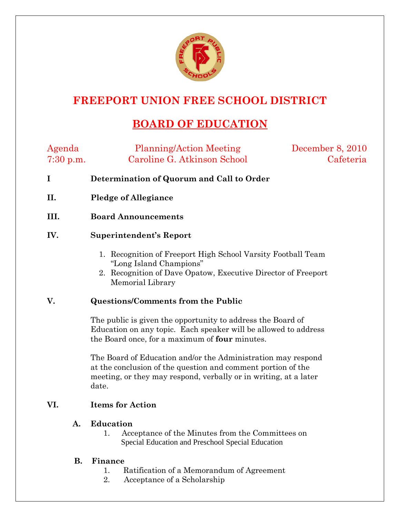

## **FREEPORT UNION FREE SCHOOL DISTRICT**

# **BOARD OF EDUCATION**

| Agenda      | <b>Planning/Action Meeting</b> | December 8, 2010 |
|-------------|--------------------------------|------------------|
| $7:30$ p.m. | Caroline G. Atkinson School    | Cafeteria        |

- **I Determination of Quorum and Call to Order**
- **II. Pledge of Allegiance**
- **III. Board Announcements**

### **IV. Superintendent's Report**

- 1. Recognition of Freeport High School Varsity Football Team "Long Island Champions"
- 2. Recognition of Dave Opatow, Executive Director of Freeport Memorial Library

#### **V. Questions/Comments from the Public**

The public is given the opportunity to address the Board of Education on any topic. Each speaker will be allowed to address the Board once, for a maximum of **four** minutes.

The Board of Education and/or the Administration may respond at the conclusion of the question and comment portion of the meeting, or they may respond, verbally or in writing, at a later date.

### **VI. Items for Action**

#### **A. Education**

1. Acceptance of the Minutes from the Committees on Special Education and Preschool Special Education

#### **B. Finance**

- 1. Ratification of a Memorandum of Agreement
- 2. Acceptance of a Scholarship